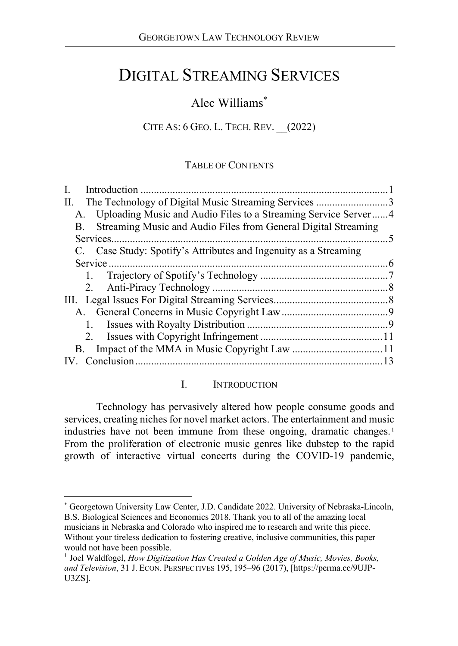# DIGITAL STREAMING SERVICES

# Alec Williams\*

## CITE AS: 6 GEO. L. TECH. REV. \_\_(2022)

#### TABLE OF CONTENTS

| The Technology of Digital Music Streaming Services 3<br>П.        |  |
|-------------------------------------------------------------------|--|
| A. Uploading Music and Audio Files to a Streaming Service Server4 |  |
| B. Streaming Music and Audio Files from General Digital Streaming |  |
|                                                                   |  |
| C. Case Study: Spotify's Attributes and Ingenuity as a Streaming  |  |
|                                                                   |  |
|                                                                   |  |
|                                                                   |  |
|                                                                   |  |
|                                                                   |  |
|                                                                   |  |
|                                                                   |  |
|                                                                   |  |
|                                                                   |  |
|                                                                   |  |

#### I. INTRODUCTION

Technology has pervasively altered how people consume goods and services, creating niches for novel market actors. The entertainment and music industries have not been immune from these ongoing, dramatic changes.<sup>1</sup> From the proliferation of electronic music genres like dubstep to the rapid growth of interactive virtual concerts during the COVID-19 pandemic,

 <sup>\*</sup> Georgetown University Law Center, J.D. Candidate 2022. University of Nebraska-Lincoln, B.S. Biological Sciences and Economics 2018. Thank you to all of the amazing local musicians in Nebraska and Colorado who inspired me to research and write this piece. Without your tireless dedication to fostering creative, inclusive communities, this paper would not have been possible.

<sup>&</sup>lt;sup>1</sup> Joel Waldfogel, *How Digitization Has Created a Golden Age of Music, Movies, Books, and Television*, 31 J. ECON. PERSPECTIVES 195, 195–96 (2017), [https://perma.cc/9UJP-U3ZS].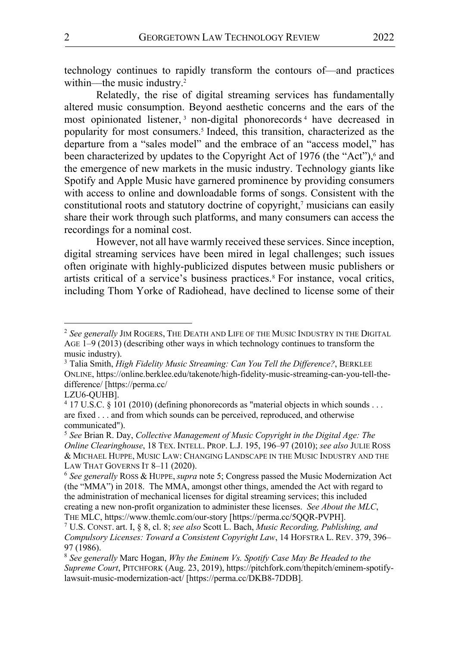technology continues to rapidly transform the contours of––and practices within—the music industry.<sup>2</sup>

Relatedly, the rise of digital streaming services has fundamentally altered music consumption. Beyond aesthetic concerns and the ears of the most opinionated listener,<sup>3</sup> non-digital phonorecords<sup>4</sup> have decreased in popularity for most consumers.5 Indeed, this transition, characterized as the departure from a "sales model" and the embrace of an "access model," has been characterized by updates to the Copyright Act of 1976 (the "Act"), <sup>6</sup> and the emergence of new markets in the music industry. Technology giants like Spotify and Apple Music have garnered prominence by providing consumers with access to online and downloadable forms of songs. Consistent with the constitutional roots and statutory doctrine of copyright,<sup>7</sup> musicians can easily share their work through such platforms, and many consumers can access the recordings for a nominal cost.

However, not all have warmly received these services. Since inception, digital streaming services have been mired in legal challenges; such issues often originate with highly-publicized disputes between music publishers or artists critical of a service's business practices.8 For instance, vocal critics, including Thom Yorke of Radiohead, have declined to license some of their

 <sup>2</sup> *See generally* JIM ROGERS, THE DEATH AND LIFE OF THE MUSIC INDUSTRY IN THE DIGITAL AGE 1–9 (2013) (describing other ways in which technology continues to transform the music industry).

<sup>3</sup> Talia Smith, *High Fidelity Music Streaming: Can You Tell the Difference?*, BERKLEE ONLINE, https://online.berklee.edu/takenote/high-fidelity-music-streaming-can-you-tell-thedifference/ [https://perma.cc/

LZU6-QUHB].

<sup>4</sup> 17 U.S.C. § 101 (2010) (defining phonorecords as "material objects in which sounds . . . are fixed . . . and from which sounds can be perceived, reproduced, and otherwise communicated").

<sup>5</sup> *See* Brian R. Day, *Collective Management of Music Copyright in the Digital Age: The Online Clearinghouse*, 18 TEX. INTELL. PROP. L.J. 195, 196–97 (2010); *see also* JULIE ROSS & MICHAEL HUPPE, MUSIC LAW: CHANGING LANDSCAPE IN THE MUSIC INDUSTRY AND THE LAW THAT GOVERNS IT 8–11 (2020).

<sup>6</sup> *See generally* ROSS & HUPPE, *supra* note 5; Congress passed the Music Modernization Act (the "MMA") in 2018. The MMA, amongst other things, amended the Act with regard to the administration of mechanical licenses for digital streaming services; this included creating a new non-profit organization to administer these licenses. *See About the MLC*, THE MLC, https://www.themlc.com/our-story [https://perma.cc/5QQR-PVPH].

<sup>7</sup> U.S. CONST. art. I, § 8, cl. 8; *see also* Scott L. Bach, *Music Recording, Publishing, and Compulsory Licenses: Toward a Consistent Copyright Law*, 14 HOFSTRA L. REV. 379, 396– 97 (1986).

<sup>8</sup> *See generally* Marc Hogan, *Why the Eminem Vs. Spotify Case May Be Headed to the Supreme Court*, PITCHFORK (Aug. 23, 2019), https://pitchfork.com/thepitch/eminem-spotifylawsuit-music-modernization-act/ [https://perma.cc/DKB8-7DDB].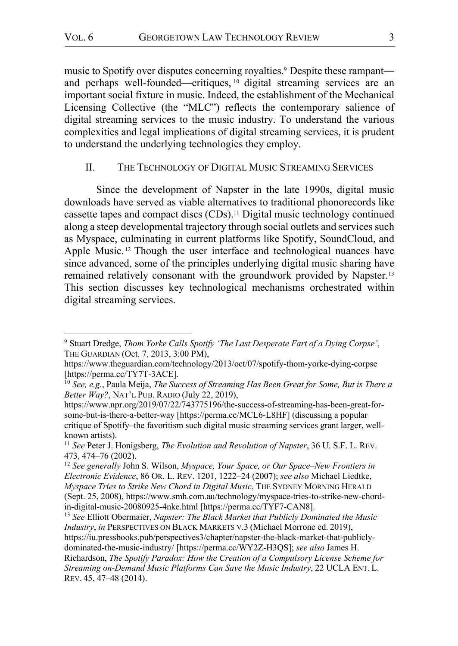music to Spotify over disputes concerning royalties. <sup>9</sup> Despite these rampant and perhaps well-founded—critiques, <sup>10</sup> digital streaming services are an important social fixture in music. Indeed, the establishment of the Mechanical Licensing Collective (the "MLC") reflects the contemporary salience of digital streaming services to the music industry. To understand the various complexities and legal implications of digital streaming services, it is prudent to understand the underlying technologies they employ.

#### II. THE TECHNOLOGY OF DIGITAL MUSIC STREAMING SERVICES

Since the development of Napster in the late 1990s, digital music downloads have served as viable alternatives to traditional phonorecords like cassette tapes and compact discs (CDs). <sup>11</sup> Digital music technology continued along a steep developmental trajectory through social outlets and services such as Myspace, culminating in current platforms like Spotify, SoundCloud, and Apple Music.<sup>12</sup> Though the user interface and technological nuances have since advanced, some of the principles underlying digital music sharing have remained relatively consonant with the groundwork provided by Napster.13 This section discusses key technological mechanisms orchestrated within digital streaming services.

 <sup>9</sup> Stuart Dredge, *Thom Yorke Calls Spotify 'The Last Desperate Fart of a Dying Corpse'*, THE GUARDIAN (Oct. 7, 2013, 3:00 PM),

https://www.theguardian.com/technology/2013/oct/07/spotify-thom-yorke-dying-corpse [https://perma.cc/TY7T-3ACE].

<sup>10</sup> *See, e.g.*, Paula Meija, *The Success of Streaming Has Been Great for Some, But is There a Better Way?*, NAT'L PUB. RADIO (July 22, 2019),

https://www.npr.org/2019/07/22/743775196/the-success-of-streaming-has-been-great-forsome-but-is-there-a-better-way [https://perma.cc/MCL6-L8HF] (discussing a popular critique of Spotify–the favoritism such digital music streaming services grant larger, wellknown artists).

<sup>11</sup> *See* Peter J. Honigsberg, *The Evolution and Revolution of Napster*, 36 U. S.F. L. REV. 473, 474–76 (2002).

<sup>12</sup> *See generally* John S. Wilson, *Myspace, Your Space, or Our Space–New Frontiers in Electronic Evidence*, 86 OR. L. REV. 1201, 1222–24 (2007); *see also* Michael Liedtke, *Myspace Tries to Strike New Chord in Digital Music*, THE SYDNEY MORNING HERALD (Sept. 25, 2008), https://www.smh.com.au/technology/myspace-tries-to-strike-new-chordin-digital-music-20080925-4nke.html [https://perma.cc/TYF7-CAN8].

<sup>13</sup> *See* Elliott Obermaier, *Napster: The Black Market that Publicly Dominated the Music Industry*, *in* PERSPECTIVES ON BLACK MARKETS V.3 (Michael Morrone ed. 2019), https://iu.pressbooks.pub/perspectives3/chapter/napster-the-black-market-that-publiclydominated-the-music-industry/ [https://perma.cc/WY2Z-H3QS]; *see also* James H. Richardson, *The Spotify Paradox: How the Creation of a Compulsory License Scheme for Streaming on-Demand Music Platforms Can Save the Music Industry*, 22 UCLA ENT. L. REV. 45, 47–48 (2014).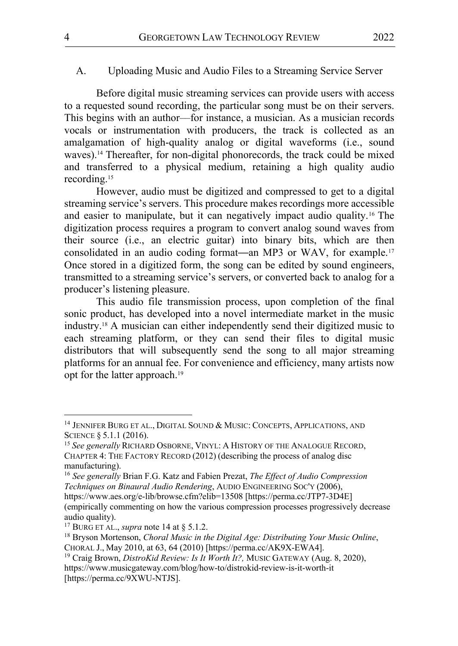#### A. Uploading Music and Audio Files to a Streaming Service Server

Before digital music streaming services can provide users with access to a requested sound recording, the particular song must be on their servers. This begins with an author––for instance, a musician. As a musician records vocals or instrumentation with producers, the track is collected as an amalgamation of high-quality analog or digital waveforms (i.e., sound waves).<sup>14</sup> Thereafter, for non-digital phonorecords, the track could be mixed and transferred to a physical medium, retaining a high quality audio recording. 15

However, audio must be digitized and compressed to get to a digital streaming service's servers. This procedure makes recordings more accessible and easier to manipulate, but it can negatively impact audio quality.16 The digitization process requires a program to convert analog sound waves from their source (i.e., an electric guitar) into binary bits, which are then consolidated in an audio coding format—an MP3 or WAV, for example.17 Once stored in a digitized form, the song can be edited by sound engineers, transmitted to a streaming service's servers, or converted back to analog for a producer's listening pleasure.

This audio file transmission process, upon completion of the final sonic product, has developed into a novel intermediate market in the music industry.18 A musician can either independently send their digitized music to each streaming platform, or they can send their files to digital music distributors that will subsequently send the song to all major streaming platforms for an annual fee. For convenience and efficiency, many artists now opt for the latter approach.19

<sup>&</sup>lt;sup>14</sup> JENNIFER BURG ET AL., DIGITAL SOUND & MUSIC: CONCEPTS, APPLICATIONS, AND SCIENCE § 5.1.1 (2016).

<sup>15</sup> *See generally* RICHARD OSBORNE, VINYL: A HISTORY OF THE ANALOGUE RECORD, CHAPTER 4: THE FACTORY RECORD (2012) (describing the process of analog disc manufacturing).<br><sup>16</sup> *See generally* Brian F.G. Katz and Fabien Prezat, *The Effect of Audio Compression* 

*Techniques on Binaural Audio Rendering*, AUDIO ENGINEERING SOC'Y (2006),

https://www.aes.org/e-lib/browse.cfm?elib=13508 [https://perma.cc/JTP7-3D4E] (empirically commenting on how the various compression processes progressively decrease audio quality).

<sup>17</sup> BURG ET AL., *supra* note 14 at § 5.1.2.

<sup>18</sup> Bryson Mortenson, *Choral Music in the Digital Age: Distributing Your Music Online*, CHORAL J., May 2010, at 63, 64 (2010) [https://perma.cc/AK9X-EWA4].

<sup>19</sup> Craig Brown, *DistroKid Review: Is It Worth It?,* MUSIC GATEWAY (Aug. 8, 2020), https://www.musicgateway.com/blog/how-to/distrokid-review-is-it-worth-it [https://perma.cc/9XWU-NTJS].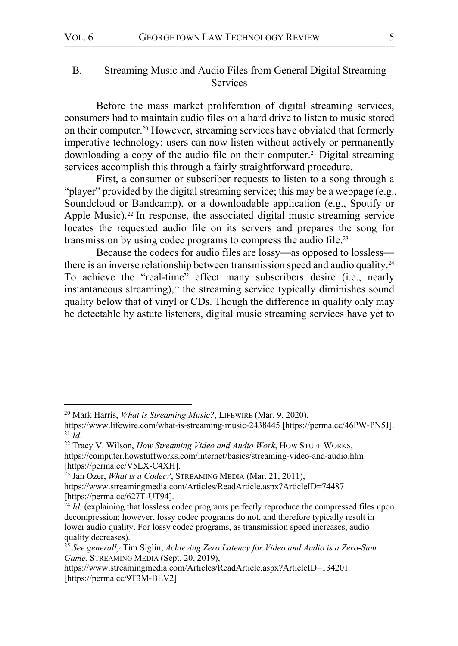# B. Streaming Music and Audio Files from General Digital Streaming Services

Before the mass market proliferation of digital streaming services, consumers had to maintain audio files on a hard drive to listen to music stored on their computer.20 However, streaming services have obviated that formerly imperative technology; users can now listen without actively or permanently downloading a copy of the audio file on their computer.<sup>21</sup> Digital streaming services accomplish this through a fairly straightforward procedure.

First, a consumer or subscriber requests to listen to a song through a "player" provided by the digital streaming service; this may be a webpage (e.g., Soundcloud or Bandcamp), or a downloadable application (e.g., Spotify or Apple Music).<sup>22</sup> In response, the associated digital music streaming service locates the requested audio file on its servers and prepares the song for transmission by using codec programs to compress the audio file.<sup>23</sup>

Because the codecs for audio files are lossy—as opposed to lossless there is an inverse relationship between transmission speed and audio quality.24 To achieve the "real-time" effect many subscribers desire (i.e., nearly instantaneous streaming), $25$  the streaming service typically diminishes sound quality below that of vinyl or CDs. Though the difference in quality only may be detectable by astute listeners, digital music streaming services have yet to

 <sup>20</sup> Mark Harris, *What is Streaming Music?*, LIFEWIRE (Mar. 9, 2020),

https://www.lifewire.com/what-is-streaming-music-2438445 [https://perma.cc/46PW-PN5J].<br><sup>21</sup> Id

<sup>&</sup>lt;sup>22</sup> Tracy V. Wilson, *How Streaming Video and Audio Work*, How STUFF WORKS, https://computer.howstuffworks.com/internet/basics/streaming-video-and-audio.htm [https://perma.cc/V5LX-C4XH].

<sup>23</sup> Jan Ozer, *What is a Codec?*, STREAMING MEDIA (Mar. 21, 2011), https://www.streamingmedia.com/Articles/ReadArticle.aspx?ArticleID=74487 [https://perma.cc/627T-UT94].

 $^{24}$  *Id.* (explaining that lossless codec programs perfectly reproduce the compressed files upon decompression; however, lossy codec programs do not, and therefore typically result in lower audio quality. For lossy codec programs, as transmission speed increases, audio quality decreases).

<sup>25</sup> *See generally* Tim Siglin, *Achieving Zero Latency for Video and Audio is a Zero-Sum Game*, STREAMING MEDIA (Sept. 20, 2019),

https://www.streamingmedia.com/Articles/ReadArticle.aspx?ArticleID=134201 [https://perma.cc/9T3M-BEV2].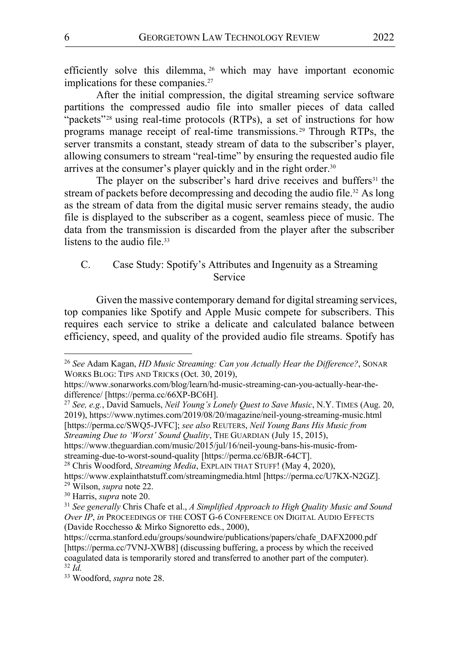efficiently solve this dilemma, <sup>26</sup> which may have important economic implications for these companies.<sup>27</sup>

After the initial compression, the digital streaming service software partitions the compressed audio file into smaller pieces of data called "packets"<sup>28</sup> using real-time protocols (RTPs), a set of instructions for how programs manage receipt of real-time transmissions. <sup>29</sup> Through RTPs, the server transmits a constant, steady stream of data to the subscriber's player, allowing consumers to stream "real-time" by ensuring the requested audio file arrives at the consumer's player quickly and in the right order.<sup>30</sup>

The player on the subscriber's hard drive receives and buffers<sup>31</sup> the stream of packets before decompressing and decoding the audio file.<sup>32</sup> As long as the stream of data from the digital music server remains steady, the audio file is displayed to the subscriber as a cogent, seamless piece of music. The data from the transmission is discarded from the player after the subscriber listens to the audio file.<sup>33</sup>

# C. Case Study: Spotify's Attributes and Ingenuity as a Streaming Service

Given the massive contemporary demand for digital streaming services, top companies like Spotify and Apple Music compete for subscribers. This requires each service to strike a delicate and calculated balance between efficiency, speed, and quality of the provided audio file streams. Spotify has

<sup>27</sup> *See, e.g.*, David Samuels, *Neil Young's Lonely Quest to Save Music*, N.Y. TIMES (Aug. 20, 2019), https://www.nytimes.com/2019/08/20/magazine/neil-young-streaming-music.html [https://perma.cc/SWQ5-JVFC]; *see also* REUTERS, *Neil Young Bans His Music from Streaming Due to 'Worst' Sound Quality*, THE GUARDIAN (July 15, 2015),

https://www.theguardian.com/music/2015/jul/16/neil-young-bans-his-music-fromstreaming-due-to-worst-sound-quality [https://perma.cc/6BJR-64CT].

 <sup>26</sup> *See* Adam Kagan, *HD Music Streaming: Can you Actually Hear the Difference?*, SONAR WORKS BLOG: TIPS AND TRICKS (Oct. 30, 2019),

https://www.sonarworks.com/blog/learn/hd-music-streaming-can-you-actually-hear-thedifference/ [https://perma.cc/66XP-BC6H].

<sup>28</sup> Chris Woodford, *Streaming Media*, EXPLAIN THAT STUFF! (May 4, 2020),

https://www.explainthatstuff.com/streamingmedia.html [https://perma.cc/U7KX-N2GZ]. <sup>29</sup> Wilson, *supra* note 22.

<sup>30</sup> Harris, *supra* note 20.

<sup>31</sup> *See generally* Chris Chafe et al., *A Simplified Approach to High Quality Music and Sound Over IP*, *in* PROCEEDINGS OF THE COST G-6 CONFERENCE ON DIGITAL AUDIO EFFECTS (Davide Rocchesso & Mirko Signoretto eds., 2000),

https://ccrma.stanford.edu/groups/soundwire/publications/papers/chafe\_DAFX2000.pdf [https://perma.cc/7VNJ-XWB8] (discussing buffering, a process by which the received coagulated data is temporarily stored and transferred to another part of the computer). <sup>32</sup> *Id.*

<sup>33</sup> Woodford, *supra* note 28.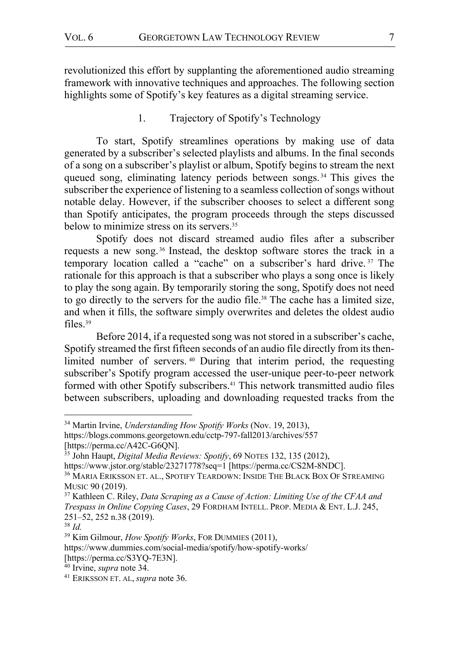revolutionized this effort by supplanting the aforementioned audio streaming framework with innovative techniques and approaches. The following section highlights some of Spotify's key features as a digital streaming service.

## 1. Trajectory of Spotify's Technology

To start, Spotify streamlines operations by making use of data generated by a subscriber's selected playlists and albums. In the final seconds of a song on a subscriber's playlist or album, Spotify begins to stream the next queued song, eliminating latency periods between songs.<sup>34</sup> This gives the subscriber the experience of listening to a seamless collection of songs without notable delay. However, if the subscriber chooses to select a different song than Spotify anticipates, the program proceeds through the steps discussed below to minimize stress on its servers.<sup>35</sup>

Spotify does not discard streamed audio files after a subscriber requests a new song. <sup>36</sup> Instead, the desktop software stores the track in a temporary location called a "cache" on a subscriber's hard drive. <sup>37</sup> The rationale for this approach is that a subscriber who plays a song once is likely to play the song again. By temporarily storing the song, Spotify does not need to go directly to the servers for the audio file.38 The cache has a limited size, and when it fills, the software simply overwrites and deletes the oldest audio files.39

Before 2014, if a requested song was not stored in a subscriber's cache, Spotify streamed the first fifteen seconds of an audio file directly from its thenlimited number of servers. <sup>40</sup> During that interim period, the requesting subscriber's Spotify program accessed the user-unique peer-to-peer network formed with other Spotify subscribers.<sup>41</sup> This network transmitted audio files between subscribers, uploading and downloading requested tracks from the

 <sup>34</sup> Martin Irvine, *Understanding How Spotify Works* (Nov. 19, 2013),

https://blogs.commons.georgetown.edu/cctp-797-fall2013/archives/557 [https://perma.cc/A42C-G6QN].

<sup>35</sup> John Haupt, *Digital Media Reviews: Spotify*, 69 NOTES 132, 135 (2012),

https://www.jstor.org/stable/23271778?seq=1 [https://perma.cc/CS2M-8NDC].

<sup>36</sup> MARIA ERIKSSON ET. AL., SPOTIFY TEARDOWN: INSIDE THE BLACK BOX OF STREAMING MUSIC 90 (2019).

<sup>37</sup> Kathleen C. Riley, *Data Scraping as a Cause of Action: Limiting Use of the CFAA and Trespass in Online Copying Cases*, 29 FORDHAM INTELL. PROP. MEDIA & ENT. L.J. 245, 251–52, 252 n.38 (2019). 38 *Id.*

<sup>39</sup> Kim Gilmour, *How Spotify Works*, FOR DUMMIES (2011),

https://www.dummies.com/social-media/spotify/how-spotify-works/ [https://perma.cc/S3YQ-7E3N].

<sup>40</sup> Irvine, *supra* note 34.

<sup>41</sup> ERIKSSON ET. AL, *supra* note 36.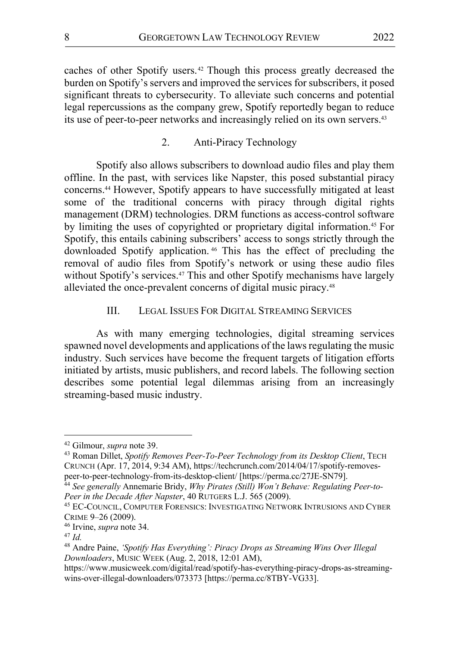caches of other Spotify users.42 Though this process greatly decreased the burden on Spotify's servers and improved the services for subscribers, it posed significant threats to cybersecurity. To alleviate such concerns and potential legal repercussions as the company grew, Spotify reportedly began to reduce its use of peer-to-peer networks and increasingly relied on its own servers.<sup>43</sup>

## 2. Anti-Piracy Technology

Spotify also allows subscribers to download audio files and play them offline. In the past, with services like Napster, this posed substantial piracy concerns.44 However, Spotify appears to have successfully mitigated at least some of the traditional concerns with piracy through digital rights management (DRM) technologies. DRM functions as access-control software by limiting the uses of copyrighted or proprietary digital information.45 For Spotify, this entails cabining subscribers' access to songs strictly through the downloaded Spotify application. <sup>46</sup> This has the effect of precluding the removal of audio files from Spotify's network or using these audio files without Spotify's services.<sup>47</sup> This and other Spotify mechanisms have largely alleviated the once-prevalent concerns of digital music piracy.<sup>48</sup>

## III. LEGAL ISSUES FOR DIGITAL STREAMING SERVICES

As with many emerging technologies, digital streaming services spawned novel developments and applications of the laws regulating the music industry. Such services have become the frequent targets of litigation efforts initiated by artists, music publishers, and record labels. The following section describes some potential legal dilemmas arising from an increasingly streaming-based music industry.

<sup>&</sup>lt;sup>42</sup> Gilmour, *supra* note 39.<br><sup>43</sup> Roman Dillet, *Spotify Removes Peer-To-Peer Technology from its Desktop Client*, TECH CRUNCH (Apr. 17, 2014, 9:34 AM), https://techcrunch.com/2014/04/17/spotify-removespeer-to-peer-technology-from-its-desktop-client/ [https://perma.cc/27JE-SN79].

<sup>44</sup> *See generally* Annemarie Bridy, *Why Pirates (Still) Won't Behave: Regulating Peer-to-Peer in the Decade After Napster*, 40 RUTGERS L.J. 565 (2009).

<sup>45</sup> EC-COUNCIL, COMPUTER FORENSICS: INVESTIGATING NETWORK INTRUSIONS AND CYBER CRIME 9–26 (2009).

<sup>46</sup> Irvine, *supra* note 34.

<sup>47</sup> *Id.* 

<sup>48</sup> Andre Paine, *'Spotify Has Everything': Piracy Drops as Streaming Wins Over Illegal Downloaders*, MUSIC WEEK (Aug. 2, 2018, 12:01 AM),

https://www.musicweek.com/digital/read/spotify-has-everything-piracy-drops-as-streamingwins-over-illegal-downloaders/073373 [https://perma.cc/8TBY-VG33].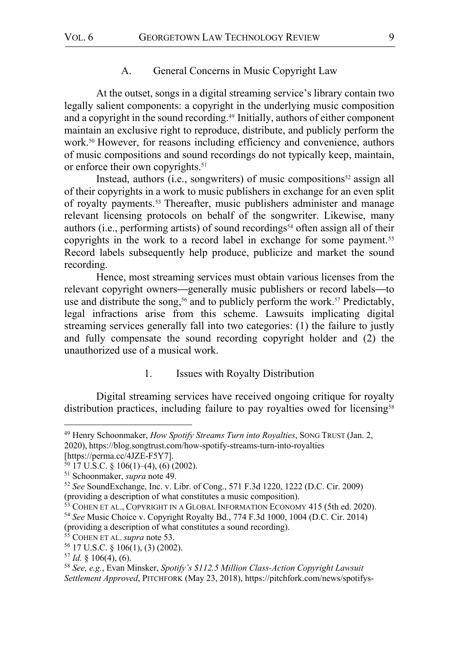#### A. General Concerns in Music Copyright Law

At the outset, songs in a digital streaming service's library contain two legally salient components: a copyright in the underlying music composition and a copyright in the sound recording.<sup>49</sup> Initially, authors of either component maintain an exclusive right to reproduce, distribute, and publicly perform the work.50 However, for reasons including efficiency and convenience, authors of music compositions and sound recordings do not typically keep, maintain, or enforce their own copyrights.<sup>51</sup>

Instead, authors (i.e., songwriters) of music compositions $52$  assign all of their copyrights in a work to music publishers in exchange for an even split of royalty payments.53 Thereafter, music publishers administer and manage relevant licensing protocols on behalf of the songwriter. Likewise, many authors (i.e., performing artists) of sound recordings<sup>54</sup> often assign all of their copyrights in the work to a record label in exchange for some payment.<sup>55</sup> Record labels subsequently help produce, publicize and market the sound recording.

Hence, most streaming services must obtain various licenses from the relevant copyright owners—generally music publishers or record labels—to use and distribute the song,<sup>56</sup> and to publicly perform the work.<sup>57</sup> Predictably, legal infractions arise from this scheme. Lawsuits implicating digital streaming services generally fall into two categories: (1) the failure to justly and fully compensate the sound recording copyright holder and (2) the unauthorized use of a musical work.

## 1. Issues with Royalty Distribution

Digital streaming services have received ongoing critique for royalty distribution practices, including failure to pay royalties owed for licensing<sup>58</sup>

[https://perma.cc/4JZE-F5Y7].<br><sup>50</sup> 17 U.S.C. § 106(1)–(4), (6) (2002).

<sup>55</sup> COHEN ET AL. *supra* note 53.

 <sup>49</sup> Henry Schoonmaker, *How Spotify Streams Turn into Royalties*, SONG TRUST (Jan. 2, 2020), https://blog.songtrust.com/how-spotify-streams-turn-into-royalties

<sup>&</sup>lt;sup>51</sup> Schoonmaker, *supra* note 49.<br><sup>52</sup> *See* SoundExchange, Inc. v. Libr. of Cong., 571 F.3d 1220, 1222 (D.C. Cir. 2009) (providing a description of what constitutes a music composition).

<sup>&</sup>lt;sup>53</sup> COHEN ET AL., COPYRIGHT IN A GLOBAL INFORMATION ECONOMY 415 (5th ed. 2020).

<sup>54</sup> *See* Music Choice v. Copyright Royalty Bd., 774 F.3d 1000, 1004 (D.C. Cir. 2014)

<sup>(</sup>providing a description of what constitutes a sound recording).

<sup>56</sup> 17 U.S.C. § 106(1), (3) (2002).

<sup>57</sup> *Id.* § 106(4), (6). 58 *See, e.g.*, Evan Minsker, *Spotify's \$112.5 Million Class-Action Copyright Lawsuit Settlement Approved*, PITCHFORK (May 23, 2018), https://pitchfork.com/news/spotifys-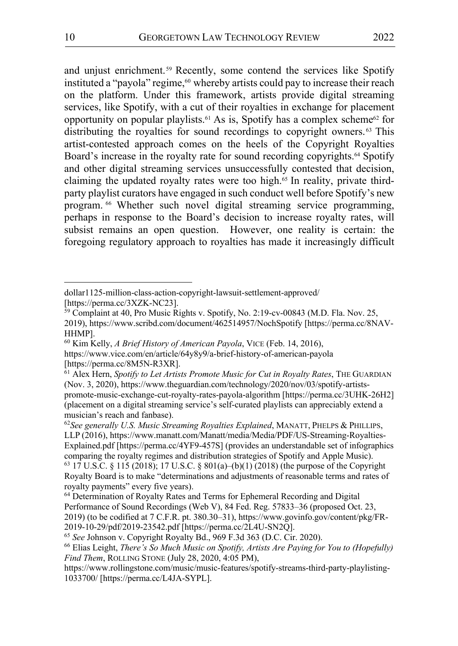and uniust enrichment.<sup>59</sup> Recently, some contend the services like Spotify instituted a "payola" regime,<sup>60</sup> whereby artists could pay to increase their reach on the platform. Under this framework, artists provide digital streaming services, like Spotify, with a cut of their royalties in exchange for placement opportunity on popular playlists.<sup>61</sup> As is, Spotify has a complex scheme<sup>62</sup> for distributing the royalties for sound recordings to copyright owners. <sup>63</sup> This artist-contested approach comes on the heels of the Copyright Royalties Board's increase in the royalty rate for sound recording copyrights.<sup>64</sup> Spotify and other digital streaming services unsuccessfully contested that decision, claiming the updated royalty rates were too high.<sup>65</sup> In reality, private thirdparty playlist curators have engaged in such conduct well before Spotify's new program. <sup>66</sup> Whether such novel digital streaming service programming, perhaps in response to the Board's decision to increase royalty rates, will subsist remains an open question. However, one reality is certain: the foregoing regulatory approach to royalties has made it increasingly difficult

 $\overline{a}$ 

dollar1125-million-class-action-copyright-lawsuit-settlement-approved/ [https://perma.cc/3XZK-NC23].

 $59$  Complaint at 40, Pro Music Rights v. Spotify, No. 2:19-cv-00843 (M.D. Fla. Nov. 25, 2019), https://www.scribd.com/document/462514957/NochSpotify [https://perma.cc/8NAV-HHMP].

<sup>60</sup> Kim Kelly, *A Brief History of American Payola*, VICE (Feb. 14, 2016), https://www.vice.com/en/article/64y8y9/a-brief-history-of-american-payola [https://perma.cc/8M5N-R3XR].

<sup>61</sup> Alex Hern, *Spotify to Let Artists Promote Music for Cut in Royalty Rates*, THE GUARDIAN (Nov. 3, 2020), https://www.theguardian.com/technology/2020/nov/03/spotify-artistspromote-music-exchange-cut-royalty-rates-payola-algorithm [https://perma.cc/3UHK-26H2] (placement on a digital streaming service's self-curated playlists can appreciably extend a

<sup>&</sup>lt;sup>62</sup>See generally *U.S. Music Streaming Royalties Explained*, MANATT, PHELPS & PHILLIPS, LLP (2016), https://www.manatt.com/Manatt/media/Media/PDF/US-Streaming-Royalties-Explained.pdf [https://perma.cc/4YF9-457S] (provides an understandable set of infographics comparing the royalty regimes and distribution strategies of Spotify and Apple Music). <sup>63</sup> 17 U.S.C. § 115 (2018); 17 U.S.C. § 801(a)–(b)(1) (2018) (the purpose of the Copyright Royalty Board is to make "determinations and adjustments of reasonable terms and rates of royalty payments" every five years).

<sup>&</sup>lt;sup>64</sup> Determination of Royalty Rates and Terms for Ephemeral Recording and Digital Performance of Sound Recordings (Web V), 84 Fed. Reg. 57833–36 (proposed Oct. 23, 2019) (to be codified at 7 C.F.R. pt. 380.30–31), https://www.govinfo.gov/content/pkg/FR-2019-10-29/pdf/2019-23542.pdf [https://perma.cc/2L4U-SN2Q]. 65 *See* Johnson v. Copyright Royalty Bd., 969 F.3d 363 (D.C. Cir. 2020).

<sup>66</sup> Elias Leight, *There's So Much Music on Spotify, Artists Are Paying for You to (Hopefully) Find Them*, ROLLING STONE (July 28, 2020, 4:05 PM),

https://www.rollingstone.com/music/music-features/spotify-streams-third-party-playlisting-1033700/ [https://perma.cc/L4JA-SYPL].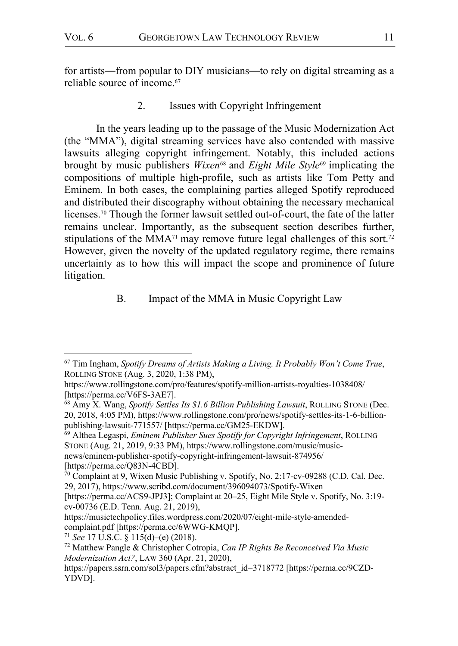for artists—from popular to DIY musicians—to rely on digital streaming as a reliable source of income.67

2. Issues with Copyright Infringement

In the years leading up to the passage of the Music Modernization Act (the "MMA"), digital streaming services have also contended with massive lawsuits alleging copyright infringement. Notably, this included actions brought by music publishers *Wixen*<sup>68</sup> and *Eight Mile Style*<sup>69</sup> implicating the compositions of multiple high-profile, such as artists like Tom Petty and Eminem. In both cases, the complaining parties alleged Spotify reproduced and distributed their discography without obtaining the necessary mechanical licenses.70 Though the former lawsuit settled out-of-court, the fate of the latter remains unclear. Importantly, as the subsequent section describes further, stipulations of the MMA<sup>71</sup> may remove future legal challenges of this sort.<sup>72</sup> However, given the novelty of the updated regulatory regime, there remains uncertainty as to how this will impact the scope and prominence of future litigation.

## B. Impact of the MMA in Music Copyright Law

[https://perma.cc/Q83N-4CBD].

 <sup>67</sup> Tim Ingham, *Spotify Dreams of Artists Making a Living. It Probably Won't Come True*, ROLLING STONE (Aug. 3, 2020, 1:38 PM),

https://www.rollingstone.com/pro/features/spotify-million-artists-royalties-1038408/ [https://perma.cc/V6FS-3AE7].

<sup>68</sup> Amy X. Wang, *Spotify Settles Its \$1.6 Billion Publishing Lawsuit*, ROLLING STONE (Dec. 20, 2018, 4:05 PM), https://www.rollingstone.com/pro/news/spotify-settles-its-1-6-billionpublishing-lawsuit-771557/ [https://perma.cc/GM25-EKDW].

<sup>69</sup> Althea Legaspi, *Eminem Publisher Sues Spotify for Copyright Infringement*, ROLLING STONE (Aug. 21, 2019, 9:33 PM), https://www.rollingstone.com/music/musicnews/eminem-publisher-spotify-copyright-infringement-lawsuit-874956/

 $\frac{70}{70}$  Complaint at 9, Wixen Music Publishing v. Spotify, No. 2:17-cv-09288 (C.D. Cal. Dec. 29, 2017), https://www.scribd.com/document/396094073/Spotify-Wixen

<sup>[</sup>https://perma.cc/ACS9-JPJ3]; Complaint at 20–25, Eight Mile Style v. Spotify, No. 3:19 cv-00736 (E.D. Tenn. Aug. 21, 2019),

https://musictechpolicy.files.wordpress.com/2020/07/eight-mile-style-amendedcomplaint.pdf [https://perma.cc/6WWG-KMQP]. 71 *See* 17 U.S.C. § 115(d)–(e) (2018).

<sup>72</sup> Matthew Pangle & Christopher Cotropia, *Can IP Rights Be Reconceived Via Music Modernization Act?*, LAW 360 (Apr. 21, 2020),

https://papers.ssrn.com/sol3/papers.cfm?abstract\_id=3718772 [https://perma.cc/9CZD-YDVD].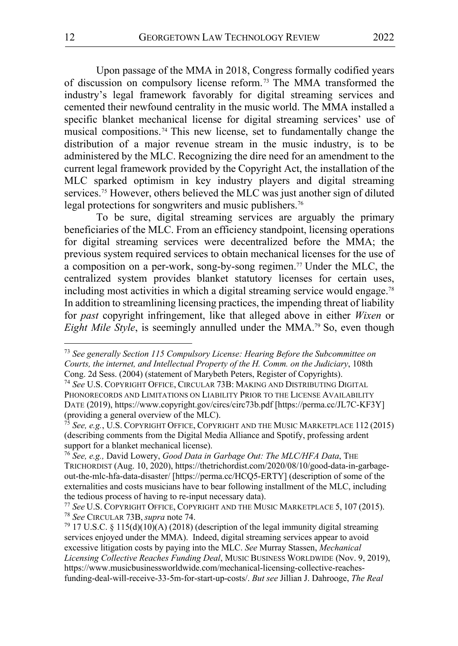Upon passage of the MMA in 2018, Congress formally codified years of discussion on compulsory license reform.73 The MMA transformed the industry's legal framework favorably for digital streaming services and cemented their newfound centrality in the music world. The MMA installed a specific blanket mechanical license for digital streaming services' use of musical compositions. <sup>74</sup> This new license, set to fundamentally change the distribution of a major revenue stream in the music industry, is to be administered by the MLC. Recognizing the dire need for an amendment to the current legal framework provided by the Copyright Act, the installation of the MLC sparked optimism in key industry players and digital streaming services.<sup>75</sup> However, others believed the MLC was just another sign of diluted legal protections for songwriters and music publishers.<sup>76</sup>

To be sure, digital streaming services are arguably the primary beneficiaries of the MLC. From an efficiency standpoint, licensing operations for digital streaming services were decentralized before the MMA; the previous system required services to obtain mechanical licenses for the use of a composition on a per-work, song-by-song regimen.<sup>77</sup> Under the MLC, the centralized system provides blanket statutory licenses for certain uses, including most activities in which a digital streaming service would engage.78 In addition to streamlining licensing practices, the impending threat of liability for *past* copyright infringement, like that alleged above in either *Wixen* or *Eight Mile Style*, is seemingly annulled under the MMA. <sup>79</sup> So, even though

 <sup>73</sup> *See generally Section 115 Compulsory License: Hearing Before the Subcommittee on Courts, the internet, and Intellectual Property of the H. Comm. on the Judiciary*, 108th Cong. 2d Sess. (2004) (statement of Marybeth Peters, Register of Copyrights).

<sup>74</sup> *See* U.S. COPYRIGHT OFFICE, CIRCULAR 73B: MAKING AND DISTRIBUTING DIGITAL PHONORECORDS AND LIMITATIONS ON LIABILITY PRIOR TO THE LICENSE AVAILABILITY DATE (2019), https://www.copyright.gov/circs/circ73b.pdf [https://perma.cc/JL7C-KF3Y] (providing a general overview of the MLC).

<sup>75</sup> *See, e.g.*, U.S. COPYRIGHT OFFICE, COPYRIGHT AND THE MUSIC MARKETPLACE 112 (2015) (describing comments from the Digital Media Alliance and Spotify, professing ardent support for a blanket mechanical license).

<sup>76</sup> *See, e.g.,* David Lowery, *Good Data in Garbage Out: The MLC/HFA Data*, THE TRICHORDIST (Aug. 10, 2020), https://thetrichordist.com/2020/08/10/good-data-in-garbageout-the-mlc-hfa-data-disaster/ [https://perma.cc/HCQ5-ERTY] (description of some of the externalities and costs musicians have to bear following installment of the MLC, including the tedious process of having to re-input necessary data).

<sup>77</sup> *See* U.S. COPYRIGHT OFFICE, COPYRIGHT AND THE MUSIC MARKETPLACE 5, 107 (2015). <sup>78</sup> *See* CIRCULAR 73B, *supra* note 74.

 $79$  17 U.S.C. § 115(d)(10)(A) (2018) (description of the legal immunity digital streaming services enjoyed under the MMA). Indeed, digital streaming services appear to avoid excessive litigation costs by paying into the MLC. *See* Murray Stassen, *Mechanical Licensing Collective Reaches Funding Deal*, MUSIC BUSINESS WORLDWIDE (Nov. 9, 2019), https://www.musicbusinessworldwide.com/mechanical-licensing-collective-reachesfunding-deal-will-receive-33-5m-for-start-up-costs/. *But see* Jillian J. Dahrooge, *The Real*